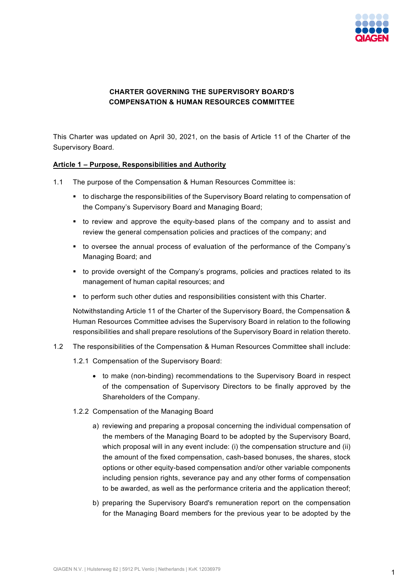

# **CHARTER GOVERNING THE SUPERVISORY BOARD'S COMPENSATION & HUMAN RESOURCES COMMITTEE**

This Charter was updated on April 30, 2021, on the basis of Article 11 of the Charter of the Supervisory Board.

### **Article 1 – Purpose, Responsibilities and Authority**

- 1.1 The purpose of the Compensation & Human Resources Committee is:
	- to discharge the responsibilities of the Supervisory Board relating to compensation of the Company's Supervisory Board and Managing Board;
	- to review and approve the equity-based plans of the company and to assist and review the general compensation policies and practices of the company; and
	- to oversee the annual process of evaluation of the performance of the Company's Managing Board; and
	- to provide oversight of the Company's programs, policies and practices related to its management of human capital resources; and
	- to perform such other duties and responsibilities consistent with this Charter.

Notwithstanding Article 11 of the Charter of the Supervisory Board, the Compensation & Human Resources Committee advises the Supervisory Board in relation to the following responsibilities and shall prepare resolutions of the Supervisory Board in relation thereto.

- 1.2 The responsibilities of the Compensation & Human Resources Committee shall include:
	- 1.2.1 Compensation of the Supervisory Board:
		- to make (non-binding) recommendations to the Supervisory Board in respect of the compensation of Supervisory Directors to be finally approved by the Shareholders of the Company.
	- 1.2.2 Compensation of the Managing Board
		- a) reviewing and preparing a proposal concerning the individual compensation of the members of the Managing Board to be adopted by the Supervisory Board, which proposal will in any event include: (i) the compensation structure and (ii) the amount of the fixed compensation, cash-based bonuses, the shares, stock options or other equity-based compensation and/or other variable components including pension rights, severance pay and any other forms of compensation to be awarded, as well as the performance criteria and the application thereof;
		- b) preparing the Supervisory Board's remuneration report on the compensation for the Managing Board members for the previous year to be adopted by the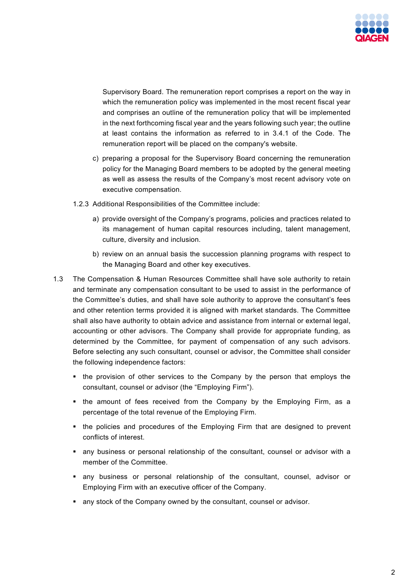

Supervisory Board. The remuneration report comprises a report on the way in which the remuneration policy was implemented in the most recent fiscal year and comprises an outline of the remuneration policy that will be implemented in the next forthcoming fiscal year and the years following such year; the outline at least contains the information as referred to in 3.4.1 of the Code. The remuneration report will be placed on the company's website.

- c) preparing a proposal for the Supervisory Board concerning the remuneration policy for the Managing Board members to be adopted by the general meeting as well as assess the results of the Company's most recent advisory vote on executive compensation.
- 1.2.3 Additional Responsibilities of the Committee include:
	- a) provide oversight of the Company's programs, policies and practices related to its management of human capital resources including, talent management, culture, diversity and inclusion.
	- b) review on an annual basis the succession planning programs with respect to the Managing Board and other key executives.
- 1.3 The Compensation & Human Resources Committee shall have sole authority to retain and terminate any compensation consultant to be used to assist in the performance of the Committee's duties, and shall have sole authority to approve the consultant's fees and other retention terms provided it is aligned with market standards. The Committee shall also have authority to obtain advice and assistance from internal or external legal, accounting or other advisors. The Company shall provide for appropriate funding, as determined by the Committee, for payment of compensation of any such advisors. Before selecting any such consultant, counsel or advisor, the Committee shall consider the following independence factors:
	- the provision of other services to the Company by the person that employs the consultant, counsel or advisor (the "Employing Firm").
	- the amount of fees received from the Company by the Employing Firm, as a percentage of the total revenue of the Employing Firm.
	- the policies and procedures of the Employing Firm that are designed to prevent conflicts of interest.
	- any business or personal relationship of the consultant, counsel or advisor with a member of the Committee.
	- any business or personal relationship of the consultant, counsel, advisor or Employing Firm with an executive officer of the Company.
	- any stock of the Company owned by the consultant, counsel or advisor.